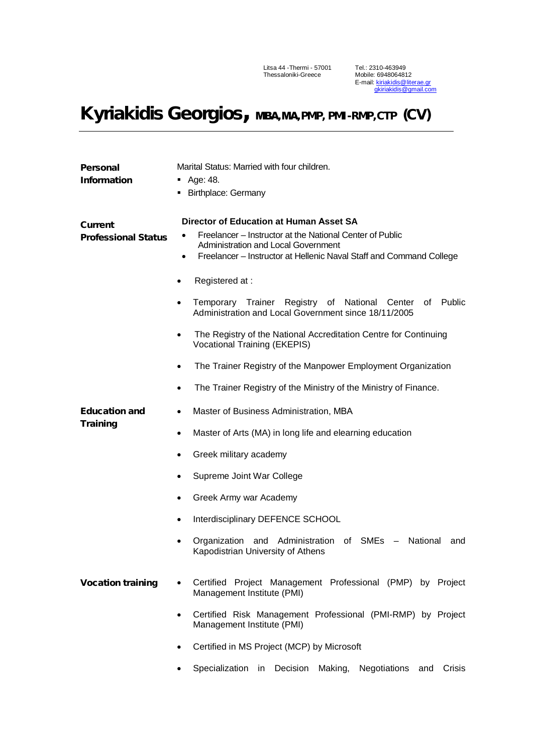Litsa 44 -Thermi - 57001 Thessaloniki-Greece

Tel.: 2310-463949 Mobile: 6948064812 E-mail: kiriakidis@literae.gr [gkiriakidis@gmail.com](mailto:gkiriakidis@gmail.com) 

## Kyriakidis Georgios, MBA, MA, PMP, PMI-RMP, CTP (CV)

| Personal                                | Marital Status: Married with four children.                                                                                                        |  |  |
|-----------------------------------------|----------------------------------------------------------------------------------------------------------------------------------------------------|--|--|
| <b>Information</b>                      | Age: 48.                                                                                                                                           |  |  |
|                                         | <b>Birthplace: Germany</b>                                                                                                                         |  |  |
|                                         |                                                                                                                                                    |  |  |
| Current                                 | <b>Director of Education at Human Asset SA</b>                                                                                                     |  |  |
| <b>Professional Status</b>              | Freelancer – Instructor at the National Center of Public<br>Administration and Local Government                                                    |  |  |
|                                         | Freelancer - Instructor at Hellenic Naval Staff and Command College                                                                                |  |  |
|                                         | Registered at:                                                                                                                                     |  |  |
|                                         |                                                                                                                                                    |  |  |
|                                         | Temporary Trainer<br>Registry<br>of National<br>Center<br><b>Public</b><br>of<br>$\bullet$<br>Administration and Local Government since 18/11/2005 |  |  |
|                                         | The Registry of the National Accreditation Centre for Continuing<br><b>Vocational Training (EKEPIS)</b>                                            |  |  |
|                                         | The Trainer Registry of the Manpower Employment Organization<br>$\bullet$                                                                          |  |  |
|                                         | The Trainer Registry of the Ministry of the Ministry of Finance.<br>$\bullet$                                                                      |  |  |
| <b>Education and</b><br><b>Training</b> | Master of Business Administration, MBA<br>$\bullet$                                                                                                |  |  |
|                                         | Master of Arts (MA) in long life and elearning education<br>$\bullet$                                                                              |  |  |
|                                         | Greek military academy<br>$\bullet$                                                                                                                |  |  |
|                                         | Supreme Joint War College<br>$\bullet$                                                                                                             |  |  |
|                                         | Greek Army war Academy<br>$\bullet$                                                                                                                |  |  |
|                                         | Interdisciplinary DEFENCE SCHOOL<br>$\bullet$                                                                                                      |  |  |
|                                         | Organization and Administration of SMEs - National<br>and<br>Kapodistrian University of Athens                                                     |  |  |
| <b>Vocation training</b>                | Certified Project Management Professional (PMP) by Project<br>Management Institute (PMI)                                                           |  |  |
|                                         | Certified Risk Management Professional (PMI-RMP) by Project<br>Management Institute (PMI)                                                          |  |  |
|                                         | Certified in MS Project (MCP) by Microsoft                                                                                                         |  |  |
|                                         | Specialization in Decision<br>Making,<br>Negotiations<br>Crisis<br>and                                                                             |  |  |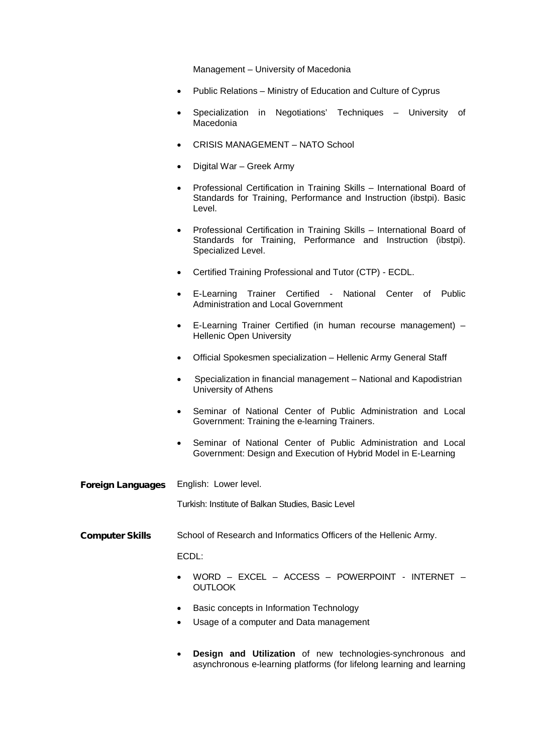Management – University of Macedonia

- Public Relations Ministry of Education and Culture of Cyprus
- Specialization in Negotiations' Techniques University of Macedonia
- CRISIS MANAGEMENT NATO School
- Digital War Greek Army
- Professional Certification in Training Skills International Board of Standards for Training, Performance and Instruction (ibstpi). Basic Level.
- Professional Certification in Training Skills International Board of Standards for Training, Performance and Instruction (ibstpi). Specialized Level.
- Certified Training Professional and Tutor (CTP) ECDL.
- E-Learning Trainer Certified National Center of Public Administration and Local Government
- E-Learning Trainer Certified (in human recourse management) Hellenic Open University
- Official Spokesmen specialization Hellenic Army General Staff
- Specialization in financial management National and Kapodistrian University of Athens
- Seminar of National Center of Public Administration and Local Government: Training the e-learning Trainers.
- Seminar of National Center of Public Administration and Local Government: Design and Execution of Hybrid Model in E-Learning
- Foreign Languages English: Lower level.

Turkish: Institute of Balkan Studies, Basic Level

Computer Skills School of Research and Informatics Officers of the Hellenic Army.

ECDL:

- WORD EXCEL ACCESS POWERPOINT INTERNET **OUTLOOK**
- Basic concepts in Information Technology
- Usage of a computer and Data management
- **Design and Utilization** of new technologies-synchronous and asynchronous e-learning platforms (for lifelong learning and learning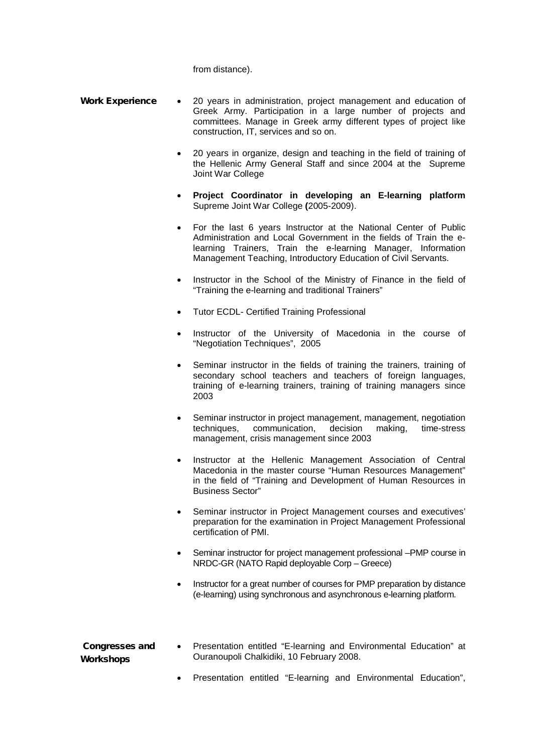from distance).

- Work Experience 20 years in administration, project management and education of Greek Army. Participation in a large number of projects and committees. Manage in Greek army different types of project like construction, IT, services and so on.
	- 20 years in organize, design and teaching in the field of training of the Hellenic Army General Staff and since 2004 at the Supreme Joint War College
	- **Project Coordinator in developing an E-learning platform**  Supreme Joint War College **(**2005-2009).
	- For the last 6 years Instructor at the National Center of Public Administration and Local Government in the fields of Train the elearning Trainers, Train the e-learning Manager, Information Management Teaching, Introductory Education of Civil Servants.
	- Instructor in the School of the Ministry of Finance in the field of "Training the e-learning and traditional Trainers"
	- Tutor ECDL- Certified Training Professional
	- Instructor of the University of Macedonia in the course of "Negotiation Techniques", 2005
	- Seminar instructor in the fields of training the trainers, training of secondary school teachers and teachers of foreign languages, training of e-learning trainers, training of training managers since 2003
	- Seminar instructor in project management, management, negotiation techniques, communication, decision making, time-stress management, crisis management since 2003
	- Instructor at the Hellenic Management Association of Central Macedonia in the master course "Human Resources Management" in the field of "Training and Development of Human Resources in Business Sector"
	- Seminar instructor in Project Management courses and executives' preparation for the examination in Project Management Professional certification of PMI.
	- Seminar instructor for project management professional –PMP course in NRDC-GR (NATO Rapid deployable Corp – Greece)
	- Instructor for a great number of courses for PMP preparation by distance (e-learning) using synchronous and asynchronous e-learning platform.

| <b>Congresses and</b> | Presentation entitled "E-learning and Environmental Education" at |  |
|-----------------------|-------------------------------------------------------------------|--|
| Workshops             | Ouranoupoli Chalkidiki, 10 February 2008.                         |  |

• Presentation entitled "E-learning and Environmental Education",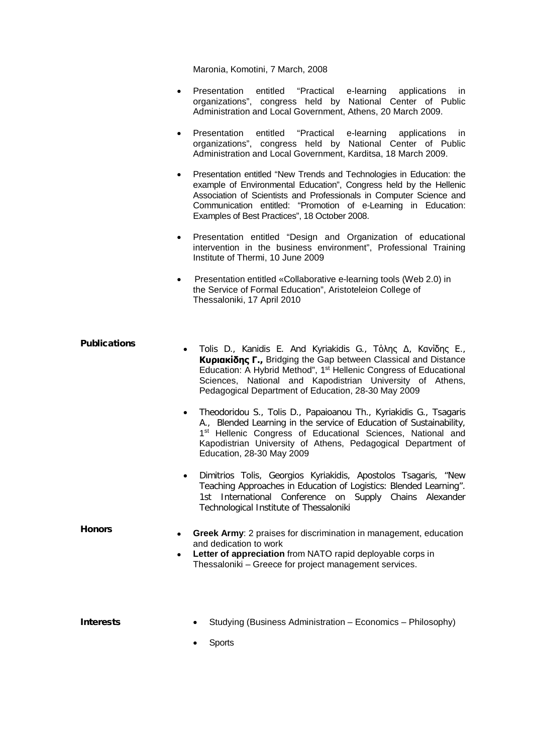Maronia, Komotini, 7 March, 2008

- Presentation entitled "Practical e-learning applications in organizations", congress held by National Center of Public Administration and Local Government, Athens, 20 March 2009.
- Presentation entitled "Practical e-learning applications in organizations", congress held by National Center of Public Administration and Local Government, Karditsa, 18 March 2009.
- Presentation entitled "New Trends and Technologies in Education: the example of Environmental Education", Congress held by the Hellenic Association of Scientists and Professionals in Computer Science and Communication entitled: "Promotion of e-Learning in Education: Examples of Best Practices", 18 October 2008.
- Presentation entitled "Design and Organization of educational intervention in the business environment", Professional Training Institute of Thermi, 10 June 2009
- Presentation entitled «Collaborative e-learning tools (Web 2.0) in the Service of Formal Education", Aristoteleion College of Thessaloniki, 17 April 2010

- Publications Tolis D., Kanidis E. And Kyriakidis G., Τόλης <sup>Δ</sup>, Κανίδης <sup>Ε</sup>., **Κυριακίδης Γ.,** Bridging the Gap between Classical and Distance Education: A Hybrid Method", 1st Hellenic Congress of Educational Sciences, National and Kapodistrian University of Athens, Pedagogical Department of Education, 28-30 May 2009
	- Theodoridou S., Tolis D., Papaioanou Th., Kyriakidis G., Tsagaris A., Blended Learning in the service of Education of Sustainability, 1<sup>st</sup> Hellenic Congress of Educational Sciences, National and Kapodistrian University of Athens, Pedagogical Department of Education, 28-30 May 2009
	- Dimitrios Tolis, Georgios Kyriakidis, Apostolos Tsagaris, "New Teaching Approaches in Education of Logistics: Blended Learning". 1st International Conference on Supply Chains Alexander Technological Institute of Thessaloniki

Honors • **Greek Army**: 2 praises for discrimination in management, education and dedication to work

**Letter of appreciation** from NATO rapid deployable corps in Thessaloniki – Greece for project management services.

- **Interests** Studying (Business Administration Economics Philosophy)
	- Sports